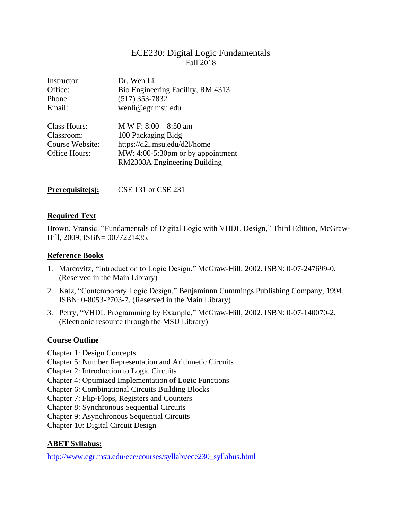# ECE230: Digital Logic Fundamentals Fall 2018

| Instructor:     | Dr. Wen Li                        |  |
|-----------------|-----------------------------------|--|
| Office:         | Bio Engineering Facility, RM 4313 |  |
| Phone:          | $(517)$ 353-7832                  |  |
| Email:          | wenli@egr.msu.edu                 |  |
| Class Hours:    | M W F: $8:00 - 8:50$ am           |  |
| Classroom:      | 100 Packaging Bldg                |  |
| Course Website: | https://d2l.msu.edu/d2l/home      |  |
| Office Hours:   | MW: 4:00-5:30pm or by appointment |  |
|                 | RM2308A Engineering Building      |  |

#### **Required Text**

Brown, Vransic. "Fundamentals of Digital Logic with VHDL Design," Third Edition, McGraw-Hill, 2009, ISBN= 0077221435.

#### **Reference Books**

- 1. Marcovitz, "Introduction to Logic Design," McGraw-Hill, 2002. ISBN: 0-07-247699-0. (Reserved in the Main Library)
- 2. Katz, "Contemporary Logic Design," Benjaminnn Cummings Publishing Company, 1994, ISBN: 0-8053-2703-7. (Reserved in the Main Library)
- 3. Perry, "VHDL Programming by Example," McGraw-Hill, 2002. ISBN: 0-07-140070-2. (Electronic resource through the MSU Library)

#### **Course Outline**

Chapter 1: Design Concepts

- Chapter 5: Number Representation and Arithmetic Circuits
- Chapter 2: Introduction to Logic Circuits
- Chapter 4: Optimized Implementation of Logic Functions
- Chapter 6: Combinational Circuits Building Blocks
- Chapter 7: Flip-Flops, Registers and Counters
- Chapter 8: Synchronous Sequential Circuits

Chapter 9: Asynchronous Sequential Circuits

Chapter 10: Digital Circuit Design

#### **ABET Syllabus:**

[http://www.egr.msu.edu/ece/courses/syllabi/ece230\\_syllabus.html](http://www.egr.msu.edu/ece/courses/syllabi/ece230_syllabus.html)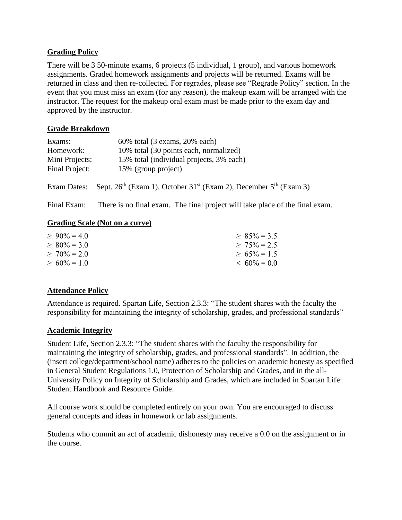# **Grading Policy**

There will be 3 50-minute exams, 6 projects (5 individual, 1 group), and various homework assignments. Graded homework assignments and projects will be returned. Exams will be returned in class and then re-collected. For regrades, please see "Regrade Policy" section. In the event that you must miss an exam (for any reason), the makeup exam will be arranged with the instructor. The request for the makeup oral exam must be made prior to the exam day and approved by the instructor.

## **Grade Breakdown**

| Exams:         | $60\%$ total (3 exams, 20% each)         |
|----------------|------------------------------------------|
| Homework:      | 10% total (30 points each, normalized)   |
| Mini Projects: | 15% total (individual projects, 3% each) |
| Final Project: | 15% (group project)                      |

Exam Dates: Sept.  $26<sup>th</sup>$  (Exam 1), October 31<sup>st</sup> (Exam 2), December  $5<sup>th</sup>$  (Exam 3)

Final Exam: There is no final exam. The final project will take place of the final exam.

#### **Grading Scale (Not on a curve)**

| $> 90\% = 4.0$ | $> 85\% = 3.5$ |
|----------------|----------------|
| $> 80\% = 3.0$ | $> 75\% = 2.5$ |
| $> 70\% = 2.0$ | $> 65\% = 1.5$ |
| $> 60\% = 1.0$ | $< 60\% = 0.0$ |

## **Attendance Policy**

Attendance is required. Spartan Life, Section 2.3.3: "The student shares with the faculty the responsibility for maintaining the integrity of scholarship, grades, and professional standards"

## **Academic Integrity**

Student Life, Section 2.3.3: "The student shares with the faculty the responsibility for maintaining the integrity of scholarship, grades, and professional standards". In addition, the (insert college/department/school name) adheres to the policies on academic honesty as specified in General Student Regulations 1.0, Protection of Scholarship and Grades, and in the all-University Policy on Integrity of Scholarship and Grades, which are included in Spartan Life: Student Handbook and Resource Guide.

All course work should be completed entirely on your own. You are encouraged to discuss general concepts and ideas in homework or lab assignments.

Students who commit an act of academic dishonesty may receive a 0.0 on the assignment or in the course.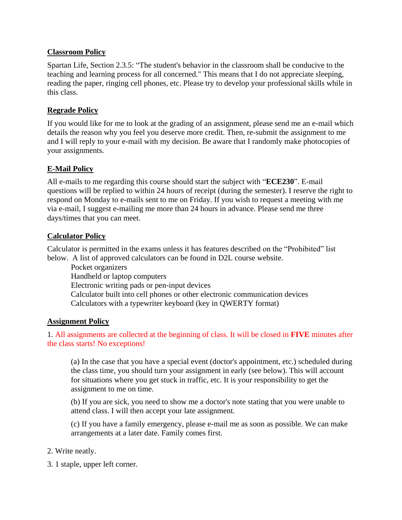## **Classroom Policy**

Spartan Life, Section 2.3.5: "The student's behavior in the classroom shall be conducive to the teaching and learning process for all concerned." This means that I do not appreciate sleeping, reading the paper, ringing cell phones, etc. Please try to develop your professional skills while in this class.

## **Regrade Policy**

If you would like for me to look at the grading of an assignment, please send me an e-mail which details the reason why you feel you deserve more credit. Then, re-submit the assignment to me and I will reply to your e-mail with my decision. Be aware that I randomly make photocopies of your assignments.

## **E-Mail Policy**

All e-mails to me regarding this course should start the subject with "**ECE230**". E-mail questions will be replied to within 24 hours of receipt (during the semester). I reserve the right to respond on Monday to e-mails sent to me on Friday. If you wish to request a meeting with me via e-mail, I suggest e-mailing me more than 24 hours in advance. Please send me three days/times that you can meet.

## **Calculator Policy**

Calculator is permitted in the exams unless it has features described on the "Prohibited" list below. A list of approved calculators can be found in D2L course website.

Pocket organizers Handheld or laptop computers Electronic writing pads or pen-input devices Calculator built into cell phones or other electronic communication devices Calculators with a typewriter keyboard (key in QWERTY format)

## **Assignment Policy**

#### 1. All assignments are collected at the beginning of class. It will be closed in **FIVE** minutes after the class starts! No exceptions!

(a) In the case that you have a special event (doctor's appointment, etc.) scheduled during the class time, you should turn your assignment in early (see below). This will account for situations where you get stuck in traffic, etc. It is your responsibility to get the assignment to me on time.

(b) If you are sick, you need to show me a doctor's note stating that you were unable to attend class. I will then accept your late assignment.

(c) If you have a family emergency, please e-mail me as soon as possible. We can make arrangements at a later date. Family comes first.

- 2. Write neatly.
- 3. 1 staple, upper left corner.